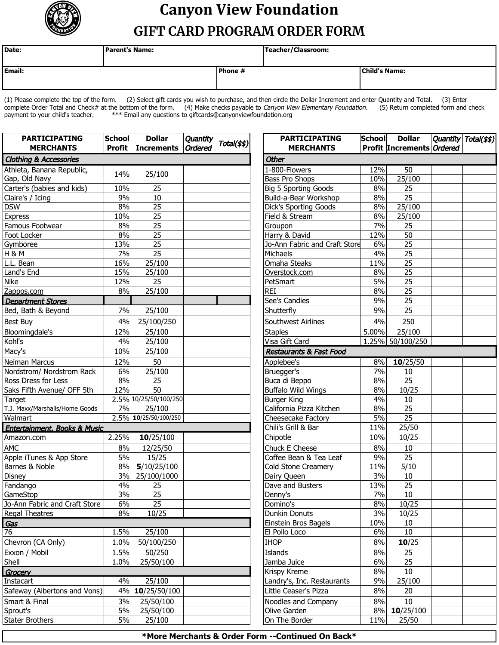

## **Canyon View Foundation GIFT CARD PROGRAM ORDER FORM**

| Date:  | <b>Parent's Name:</b> |                  | Teacher/Classroom: |                      |
|--------|-----------------------|------------------|--------------------|----------------------|
| Email: |                       | <b>Phone</b> $#$ |                    | <b>Child's Name:</b> |

(1) Please complete the top of the form. (2) Select gift cards you wish to purchase, and then circle the Dollar Increment and enter Quantity and Total. (3) Enter complete Order Total and Check# at the bottom of the form. ( complete Order Total and Check# at the bottom of the form. (4) Make checks payable to Canyon View Elementary Foundation. (5) Return completed form and check payment to your child's teacher. \*\*\* Email any questions to giftcards@canyonviewfoundation.org

| <b>PARTICIPATING</b>              | School | <b>Dollar</b>              | Quantity |             | <b>PARTICIPATING</b>               | <b>School</b> | <b>Dollar</b>                    | Quantity   Total(\$\$) |
|-----------------------------------|--------|----------------------------|----------|-------------|------------------------------------|---------------|----------------------------------|------------------------|
| <b>MERCHANTS</b>                  |        | <b>Profit   Increments</b> | Ordered  | Total(\$\$) | <b>MERCHANTS</b>                   |               | <b>Profit Increments Ordered</b> |                        |
| <b>Clothing &amp; Accessories</b> |        |                            |          |             | <b>Other</b>                       |               |                                  |                        |
| Athleta, Banana Republic,         | 14%    | 25/100                     |          |             | 1-800-Flowers                      | 12%           | 50                               |                        |
| Gap, Old Navy                     |        |                            |          |             | Bass Pro Shops                     | 10%           | 25/100                           |                        |
| Carter's (babies and kids)        | 10%    | 25                         |          |             | Big 5 Sporting Goods               | 8%            | 25                               |                        |
| Claire's / Icing                  | 9%     | 10                         |          |             | Build-a-Bear Workshop              | 8%            | $\overline{25}$                  |                        |
| <b>DSW</b>                        | 8%     | 25                         |          |             | Dick's Sporting Goods              | 8%            | 25/100                           |                        |
| <b>Express</b>                    | 10%    | 25                         |          |             | Field & Stream                     | 8%            | 25/100                           |                        |
| Famous Footwear                   | 8%     | 25                         |          |             | Groupon                            | 7%            | 25                               |                        |
| Foot Locker                       | 8%     | $\overline{25}$            |          |             | Harry & David                      | 12%           | 50                               |                        |
| Gymboree                          | 13%    | 25                         |          |             | Jo-Ann Fabric and Craft Store      | 6%            | $\overline{25}$                  |                        |
| H&M                               | 7%     | $\overline{25}$            |          |             | Michaels                           | 4%            | $\overline{25}$                  |                        |
| L.L. Bean                         | 16%    | 25/100                     |          |             | <b>Omaha Steaks</b>                | 11%           | $\overline{25}$                  |                        |
| Land's End                        | 15%    | 25/100                     |          |             | Overstock.com                      | 8%            | $\overline{25}$                  |                        |
| Nike                              | 12%    | $\overline{25}$            |          |             | PetSmart                           | 5%            | 25                               |                        |
| Zappos.com                        | 8%     | 25/100                     |          |             | <b>REI</b>                         | 8%            | 25                               |                        |
| <b>Department Stores</b>          |        |                            |          |             | See's Candies                      | 9%            | 25                               |                        |
| Bed, Bath & Beyond                | 7%     | 25/100                     |          |             | Shutterfly                         | 9%            | 25                               |                        |
| Best Buy                          | 4%     | 25/100/250                 |          |             | Southwest Airlines                 | 4%            | 250                              |                        |
| Bloomingdale's                    | 12%    | 25/100                     |          |             | <b>Staples</b>                     | 5.00%         | 25/100                           |                        |
| Kohl's                            | 4%     | 25/100                     |          |             | Visa Gift Card                     |               | 1.25% 50/100/250                 |                        |
| Macy's                            | 10%    | 25/100                     |          |             | <b>Restaurants &amp; Fast Food</b> |               |                                  |                        |
| Neiman Marcus                     | 12%    | 50                         |          |             | Applebee's                         | 8%            | 10/25/50                         |                        |
| Nordstrom/ Nordstrom Rack         | 6%     | 25/100                     |          |             | Bruegger's                         | 7%            | $10\,$                           |                        |
| Ross Dress for Less               | 8%     | 25                         |          |             | Buca di Beppo                      | 8%            | $\overline{25}$                  |                        |
| Saks Fifth Avenue/ OFF 5th        | 12%    | $\overline{50}$            |          |             | <b>Buffalo Wild Wings</b>          | 8%            | 10/25                            |                        |
| Target                            |        | 2.5% 10/25/50/100/250      |          |             | <b>Burger King</b>                 | 4%            | 10                               |                        |
| T.J. Maxx/Marshalls/Home Goods    | 7%     | 25/100                     |          |             | California Pizza Kitchen           | 8%            | $\overline{25}$                  |                        |
| Walmart                           |        | 2.5% 10/25/50/100/250      |          |             | Cheesecake Factory                 | 5%            | $\overline{25}$                  |                        |
| Entertainment, Books & Music      |        |                            |          |             | Chili's Grill & Bar                | 11%           | 25/50                            |                        |
| Amazon.com                        | 2.25%  | 10/25/100                  |          |             | Chipotle                           | 10%           | 10/25                            |                        |
| <b>AMC</b>                        | 8%     | 12/25/50                   |          |             | Chuck E Cheese                     | 8%            | 10                               |                        |
| Apple iTunes & App Store          | 5%     | 15/25                      |          |             | Coffee Bean & Tea Leaf             | 9%            | $\overline{25}$                  |                        |
| Barnes & Noble                    | 8%     | 5/10/25/100                |          |             | <b>Cold Stone Creamery</b>         | 11%           | 5/10                             |                        |
| Disney                            | 3%     | 25/100/1000                |          |             | Dairy Queen                        | 3%            | 10                               |                        |
| Fandango                          | 4%     | 25                         |          |             | Dave and Busters                   | 13%           | 25                               |                        |
| GameStop                          | 3%     | 25                         |          |             | Denny's                            | 7%            | 10                               |                        |
| Jo-Ann Fabric and Craft Store     | 6%     | 25                         |          |             | Domino's                           | 8%            | 10/25                            |                        |
| <b>Regal Theatres</b>             | 8%     | 10/25                      |          |             | Dunkin Donuts                      | 3%            | 10/25                            |                        |
| Gas                               |        |                            |          |             | Einstein Bros Bagels               | 10%           | 10                               |                        |
| $\overline{76}$                   | 1.5%   | 25/100                     |          |             | El Pollo Loco                      | 6%            | 10                               |                        |
| Chevron (CA Only)                 | 1.0%   | 50/100/250                 |          |             | <b>IHOP</b>                        | 8%            | 10/25                            |                        |
| Exxon / Mobil                     | 1.5%   | 50/250                     |          |             | Islands                            | 8%            | 25                               |                        |
| Shell                             | 1.0%   | 25/50/100                  |          |             | Jamba Juice                        | 6%            | 25                               |                        |
| Grocery                           |        |                            |          |             | Krispy Kreme                       | 8%            | 10                               |                        |
| Instacart                         | 4%     | 25/100                     |          |             | Landry's, Inc. Restaurants         | 9%            | 25/100                           |                        |
| Safeway (Albertons and Vons)      | 4%     | 10/25/50/100               |          |             | Little Ceaser's Pizza              | 8%            | 20                               |                        |
| Smart & Final                     | 3%     | 25/50/100                  |          |             | Noodles and Company                | 8%            | 10                               |                        |
| Sprout's                          | 5%     | 25/50/100                  |          |             | Olive Garden                       | 8%            | 10/25/100                        |                        |
| <b>Stater Brothers</b>            | 5%     | 25/100                     |          |             | On The Border                      | 11%           | 25/50                            |                        |